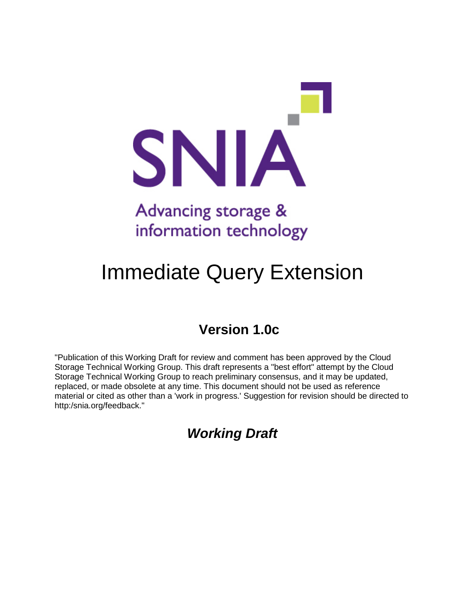

# Advancing storage & information technology

# Immediate Query Extension

# **Version 1.0c**

"Publication of this Working Draft for review and comment has been approved by the Cloud Storage Technical Working Group. This draft represents a "best effort" attempt by the Cloud Storage Technical Working Group to reach preliminary consensus, and it may be updated, replaced, or made obsolete at any time. This document should not be used as reference material or cited as other than a 'work in progress.' Suggestion for revision should be directed to http:/snia.org/feedback."

*Working Draft*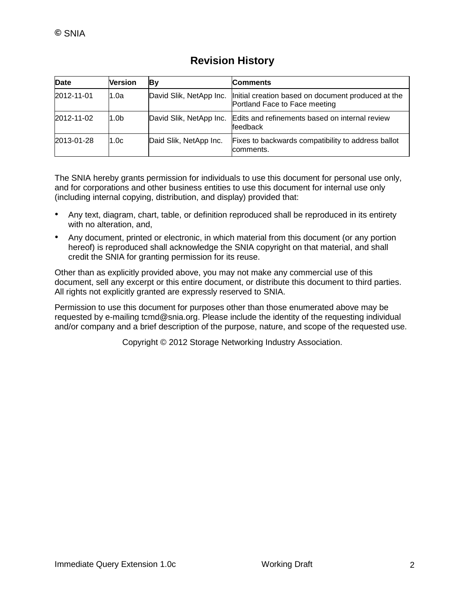## **Revision History**

| <b>Date</b> | <b>Version</b>   | Вy                     | <b>Comments</b>                                                                                               |  |
|-------------|------------------|------------------------|---------------------------------------------------------------------------------------------------------------|--|
| 2012-11-01  | 1.0a             |                        | David Slik, NetApp Inc.   Initial creation based on document produced at the<br>Portland Face to Face meeting |  |
| 2012-11-02  | 1.0 <sub>b</sub> |                        | David Slik, NetApp Inc. Edits and refinements based on internal review<br>feedback                            |  |
| 2013-01-28  | 1.0c             | Daid Slik, NetApp Inc. | Fixes to backwards compatibility to address ballot<br>comments.                                               |  |

The SNIA hereby grants permission for individuals to use this document for personal use only, and for corporations and other business entities to use this document for internal use only (including internal copying, distribution, and display) provided that:

- Any text, diagram, chart, table, or definition reproduced shall be reproduced in its entirety with no alteration, and,
- Any document, printed or electronic, in which material from this document (or any portion hereof) is reproduced shall acknowledge the SNIA copyright on that material, and shall credit the SNIA for granting permission for its reuse.

Other than as explicitly provided above, you may not make any commercial use of this document, sell any excerpt or this entire document, or distribute this document to third parties. All rights not explicitly granted are expressly reserved to SNIA.

Permission to use this document for purposes other than those enumerated above may be requested by e-mailing tcmd@snia.org. Please include the identity of the requesting individual and/or company and a brief description of the purpose, nature, and scope of the requested use.

Copyright © 2012 Storage Networking Industry Association.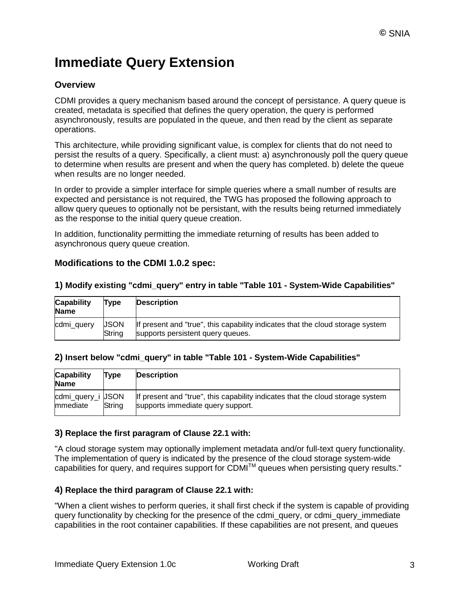## **Immediate Query Extension**

## **Overview**

CDMI provides a query mechanism based around the concept of persistance. A query queue is created, metadata is specified that defines the query operation, the query is performed asynchronously, results are populated in the queue, and then read by the client as separate operations.

This architecture, while providing significant value, is complex for clients that do not need to persist the results of a query. Specifically, a client must: a) asynchronously poll the query queue to determine when results are present and when the query has completed. b) delete the queue when results are no longer needed.

In order to provide a simpler interface for simple queries where a small number of results are expected and persistance is not required, the TWG has proposed the following approach to allow query queues to optionally not be persistant, with the results being returned immediately as the response to the initial query queue creation.

In addition, functionality permitting the immediate returning of results has been added to asynchronous query queue creation.

### **Modifications to the CDMI 1.0.2 spec:**

| <b>Capability</b><br><b>Name</b> | Type                          | <b>Description</b>                                                                                                  |
|----------------------------------|-------------------------------|---------------------------------------------------------------------------------------------------------------------|
| cdmi_query                       | <b>USON</b><br><b>S</b> tring | If present and "true", this capability indicates that the cloud storage system<br>supports persistent query queues. |

#### **1) Modify existing "cdmi\_query" entry in table "Table 101 - System-Wide Capabilities"**

#### **2) Insert below "cdmi\_query" in table "Table 101 - System-Wide Capabilities"**

| <b>Capability</b><br><b>Name</b> | Type   | <b>Description</b>                                                                                                  |
|----------------------------------|--------|---------------------------------------------------------------------------------------------------------------------|
| cdmi_query_i USON<br>mmediate    | String | If present and "true", this capability indicates that the cloud storage system<br>supports immediate query support. |

#### **3) Replace the first paragram of Clause 22.1 with:**

"A cloud storage system may optionally implement metadata and/or full-text query functionality. The implementation of query is indicated by the presence of the cloud storage system-wide capabilities for query, and requires support for CDMI™ queues when persisting query results."

#### **4) Replace the third paragram of Clause 22.1 with:**

"When a client wishes to perform queries, it shall first check if the system is capable of providing query functionality by checking for the presence of the cdmi\_query, or cdmi\_query\_immediate capabilities in the root container capabilities. If these capabilities are not present, and queues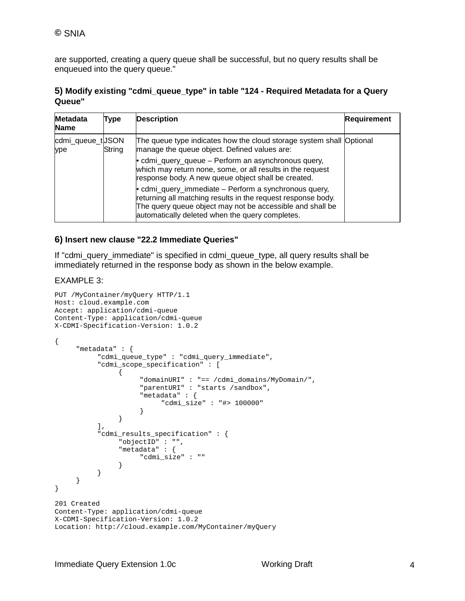are supported, creating a query queue shall be successful, but no query results shall be enqueued into the query queue."

#### **5) Modify existing "cdmi\_queue\_type" in table "124 - Required Metadata for a Query Queue"**

| <b>Metadata</b><br><b>Name</b> | Type   | <b>Description</b>                                                                                                                                                                                                                            | <b>Requirement</b> |
|--------------------------------|--------|-----------------------------------------------------------------------------------------------------------------------------------------------------------------------------------------------------------------------------------------------|--------------------|
| cdmi_queue_tUSON<br>ype        | String | The queue type indicates how the cloud storage system shall Optional<br>manage the queue object. Defined values are:                                                                                                                          |                    |
|                                |        | • cdmi_query_queue – Perform an asynchronous query,<br>which may return none, some, or all results in the request<br>response body. A new queue object shall be created.                                                                      |                    |
|                                |        | $\bullet$ cdmi_query_immediate – Perform a synchronous query,<br>returning all matching results in the request response body.<br>The query queue object may not be accessible and shall be<br>automatically deleted when the query completes. |                    |

#### **6) Insert new clause "22.2 Immediate Queries"**

If "cdmi\_query\_immediate" is specified in cdmi\_queue\_type, all query results shall be immediately returned in the response body as shown in the below example.

#### EXAMPLE 3:

```
PUT /MyContainer/myQuery HTTP/1.1
Host: cloud.example.com
Accept: application/cdmi-queue
Content-Type: application/cdmi-queue
X-CDMI-Specification-Version: 1.0.2
{
     "metadata" : {
           "cdmi_queue_type" : "cdmi_query_immediate",
           "cdmi_scope_specification" : [
                {
                     "domainURI" : "== /cdmi_domains/MyDomain/",
                     "parentURI" : "starts /sandbox",
                     "metadata" : {
                           "cdmi_size" : "#> 100000"
                     }
                }
           ],
           "cdmi_results_specification" : {
                "objectID" : "",
                "metadata" : {
                    "cdmi_size" : ""
                }
          }
     }
}
201 Created
Content-Type: application/cdmi-queue
X-CDMI-Specification-Version: 1.0.2
Location: http://cloud.example.com/MyContainer/myQuery
```